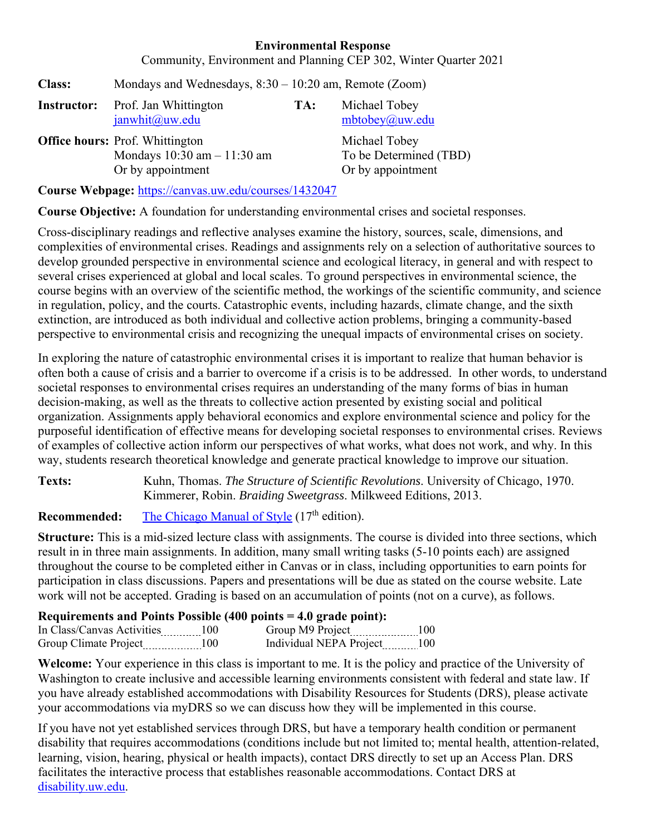## **Environmental Response**

Community, Environment and Planning CEP 302, Winter Quarter 2021

| <b>Class:</b> | Mondays and Wednesdays, $8:30 - 10:20$ am, Remote (Zoom)                                      |     |                                                              |
|---------------|-----------------------------------------------------------------------------------------------|-----|--------------------------------------------------------------|
| Instructor:   | Prof. Jan Whittington<br>janwhit@uw.edu                                                       | TA: | Michael Tobey<br>mbtobey@aw.edu                              |
|               | <b>Office hours: Prof. Whittington</b><br>Mondays $10:30$ am $-11:30$ am<br>Or by appointment |     | Michael Tobey<br>To be Determined (TBD)<br>Or by appointment |
|               |                                                                                               |     |                                                              |

**Course Webpage:** https://canvas.uw.edu/courses/1432047

**Course Objective:** A foundation for understanding environmental crises and societal responses.

Cross-disciplinary readings and reflective analyses examine the history, sources, scale, dimensions, and complexities of environmental crises. Readings and assignments rely on a selection of authoritative sources to develop grounded perspective in environmental science and ecological literacy, in general and with respect to several crises experienced at global and local scales. To ground perspectives in environmental science, the course begins with an overview of the scientific method, the workings of the scientific community, and science in regulation, policy, and the courts. Catastrophic events, including hazards, climate change, and the sixth extinction, are introduced as both individual and collective action problems, bringing a community-based perspective to environmental crisis and recognizing the unequal impacts of environmental crises on society.

In exploring the nature of catastrophic environmental crises it is important to realize that human behavior is often both a cause of crisis and a barrier to overcome if a crisis is to be addressed. In other words, to understand societal responses to environmental crises requires an understanding of the many forms of bias in human decision-making, as well as the threats to collective action presented by existing social and political organization. Assignments apply behavioral economics and explore environmental science and policy for the purposeful identification of effective means for developing societal responses to environmental crises. Reviews of examples of collective action inform our perspectives of what works, what does not work, and why. In this way, students research theoretical knowledge and generate practical knowledge to improve our situation.

**Texts:** Kuhn, Thomas. *The Structure of Scientific Revolutions*. University of Chicago, 1970. Kimmerer, Robin. *Braiding Sweetgrass*. Milkweed Editions, 2013.

**Recommended:** The Chicago Manual of Style (17<sup>th</sup> edition).

**Structure:** This is a mid-sized lecture class with assignments. The course is divided into three sections, which result in in three main assignments. In addition, many small writing tasks (5-10 points each) are assigned throughout the course to be completed either in Canvas or in class, including opportunities to earn points for participation in class discussions. Papers and presentations will be due as stated on the course website. Late work will not be accepted. Grading is based on an accumulation of points (not on a curve), as follows.

## **Requirements and Points Possible (400 points = 4.0 grade point):**

| In Class/Canvas Activities | 100   | Group M9 Project<br>*--------------------- |  |
|----------------------------|-------|--------------------------------------------|--|
| Group Climate Project      | 1 O C | Individual NEPA Project                    |  |

**Welcome:** Your experience in this class is important to me. It is the policy and practice of the University of Washington to create inclusive and accessible learning environments consistent with federal and state law. If you have already established accommodations with Disability Resources for Students (DRS), please activate your accommodations via myDRS so we can discuss how they will be implemented in this course.

If you have not yet established services through DRS, but have a temporary health condition or permanent disability that requires accommodations (conditions include but not limited to; mental health, attention-related, learning, vision, hearing, physical or health impacts), contact DRS directly to set up an Access Plan. DRS facilitates the interactive process that establishes reasonable accommodations. Contact DRS at disability.uw.edu.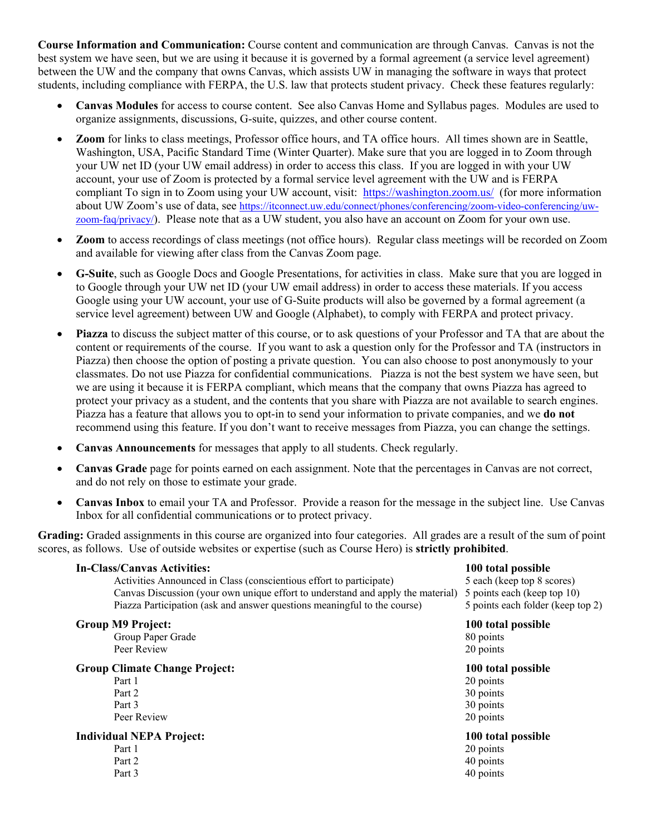**Course Information and Communication:** Course content and communication are through Canvas. Canvas is not the best system we have seen, but we are using it because it is governed by a formal agreement (a service level agreement) between the UW and the company that owns Canvas, which assists UW in managing the software in ways that protect students, including compliance with FERPA, the U.S. law that protects student privacy. Check these features regularly:

- **Canvas Modules** for access to course content. See also Canvas Home and Syllabus pages. Modules are used to organize assignments, discussions, G-suite, quizzes, and other course content.
- **Zoom** for links to class meetings, Professor office hours, and TA office hours. All times shown are in Seattle, Washington, USA, Pacific Standard Time (Winter Quarter). Make sure that you are logged in to Zoom through your UW net ID (your UW email address) in order to access this class. If you are logged in with your UW account, your use of Zoom is protected by a formal service level agreement with the UW and is FERPA compliant To sign in to Zoom using your UW account, visit: https://washington.zoom.us/ (for more information about UW Zoom's use of data, see https://itconnect.uw.edu/connect/phones/conferencing/zoom-video-conferencing/uwzoom-faq/privacy/). Please note that as a UW student, you also have an account on Zoom for your own use.
- **Zoom** to access recordings of class meetings (not office hours). Regular class meetings will be recorded on Zoom and available for viewing after class from the Canvas Zoom page.
- **G-Suite**, such as Google Docs and Google Presentations, for activities in class. Make sure that you are logged in to Google through your UW net ID (your UW email address) in order to access these materials. If you access Google using your UW account, your use of G-Suite products will also be governed by a formal agreement (a service level agreement) between UW and Google (Alphabet), to comply with FERPA and protect privacy.
- **Piazza** to discuss the subject matter of this course, or to ask questions of your Professor and TA that are about the content or requirements of the course. If you want to ask a question only for the Professor and TA (instructors in Piazza) then choose the option of posting a private question. You can also choose to post anonymously to your classmates. Do not use Piazza for confidential communications. Piazza is not the best system we have seen, but we are using it because it is FERPA compliant, which means that the company that owns Piazza has agreed to protect your privacy as a student, and the contents that you share with Piazza are not available to search engines. Piazza has a feature that allows you to opt-in to send your information to private companies, and we **do not**  recommend using this feature. If you don't want to receive messages from Piazza, you can change the settings.
- **Canvas Announcements** for messages that apply to all students. Check regularly.
- **Canvas Grade** page for points earned on each assignment. Note that the percentages in Canvas are not correct, and do not rely on those to estimate your grade.
- **Canvas Inbox** to email your TA and Professor. Provide a reason for the message in the subject line. Use Canvas Inbox for all confidential communications or to protect privacy.

**Grading:** Graded assignments in this course are organized into four categories. All grades are a result of the sum of point scores, as follows. Use of outside websites or expertise (such as Course Hero) is **strictly prohibited**.

| <b>In-Class/Canvas Activities:</b>                                              | 100 total possible                |
|---------------------------------------------------------------------------------|-----------------------------------|
| Activities Announced in Class (conscientious effort to participate)             | 5 each (keep top 8 scores)        |
| Canvas Discussion (your own unique effort to understand and apply the material) | 5 points each (keep top 10)       |
| Piazza Participation (ask and answer questions meaningful to the course)        | 5 points each folder (keep top 2) |
| <b>Group M9 Project:</b>                                                        | 100 total possible                |
| Group Paper Grade                                                               | 80 points                         |
| Peer Review                                                                     | 20 points                         |
| <b>Group Climate Change Project:</b>                                            | 100 total possible                |
| Part 1                                                                          | 20 points                         |
| Part 2                                                                          | 30 points                         |
| Part 3                                                                          | 30 points                         |
| Peer Review                                                                     | 20 points                         |
| <b>Individual NEPA Project:</b>                                                 | 100 total possible                |
| Part 1                                                                          | 20 points                         |
| Part 2                                                                          | 40 points                         |
| Part 3                                                                          | 40 points                         |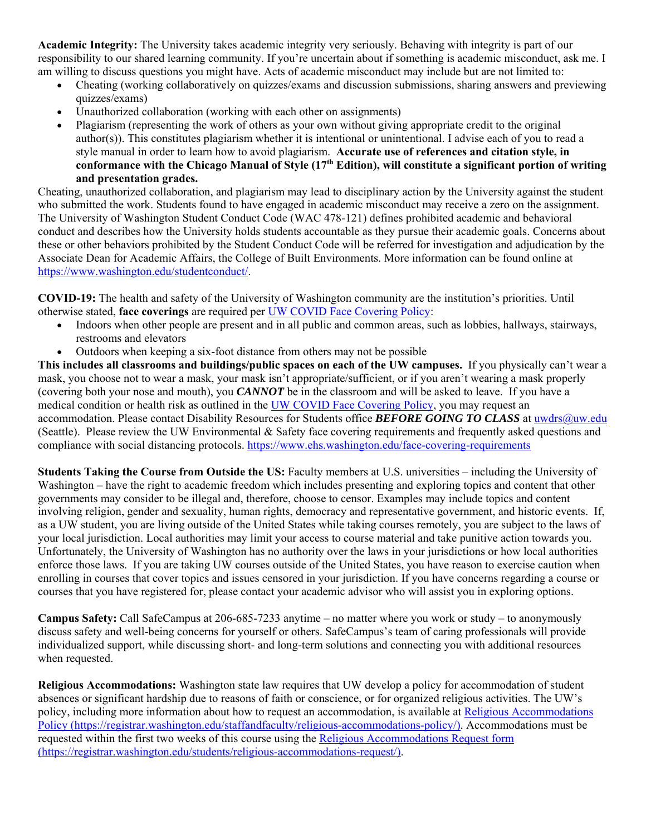**Academic Integrity:** The University takes academic integrity very seriously. Behaving with integrity is part of our responsibility to our shared learning community. If you're uncertain about if something is academic misconduct, ask me. I am willing to discuss questions you might have. Acts of academic misconduct may include but are not limited to:

- Cheating (working collaboratively on quizzes/exams and discussion submissions, sharing answers and previewing quizzes/exams)
- Unauthorized collaboration (working with each other on assignments)
- Plagiarism (representing the work of others as your own without giving appropriate credit to the original author(s)). This constitutes plagiarism whether it is intentional or unintentional. I advise each of you to read a style manual in order to learn how to avoid plagiarism. **Accurate use of references and citation style, in conformance with the Chicago Manual of Style (17th Edition), will constitute a significant portion of writing and presentation grades.**

Cheating, unauthorized collaboration, and plagiarism may lead to disciplinary action by the University against the student who submitted the work. Students found to have engaged in academic misconduct may receive a zero on the assignment. The University of Washington Student Conduct Code (WAC 478-121) defines prohibited academic and behavioral conduct and describes how the University holds students accountable as they pursue their academic goals. Concerns about these or other behaviors prohibited by the Student Conduct Code will be referred for investigation and adjudication by the Associate Dean for Academic Affairs, the College of Built Environments. More information can be found online at https://www.washington.edu/studentconduct/.

**COVID-19:** The health and safety of the University of Washington community are the institution's priorities. Until otherwise stated, **face coverings** are required per UW COVID Face Covering Policy:

- Indoors when other people are present and in all public and common areas, such as lobbies, hallways, stairways, restrooms and elevators
- Outdoors when keeping a six-foot distance from others may not be possible

**This includes all classrooms and buildings/public spaces on each of the UW campuses.** If you physically can't wear a mask, you choose not to wear a mask, your mask isn't appropriate/sufficient, or if you aren't wearing a mask properly (covering both your nose and mouth), you *CANNOT* be in the classroom and will be asked to leave. If you have a medical condition or health risk as outlined in the UW COVID Face Covering Policy, you may request an accommodation. Please contact Disability Resources for Students office **BEFORE GOING TO CLASS** at uwdrs@uw.edu (Seattle). Please review the UW Environmental & Safety face covering requirements and frequently asked questions and compliance with social distancing protocols. https://www.ehs.washington.edu/face-covering-requirements

**Students Taking the Course from Outside the US:** Faculty members at U.S. universities – including the University of Washington – have the right to academic freedom which includes presenting and exploring topics and content that other governments may consider to be illegal and, therefore, choose to censor. Examples may include topics and content involving religion, gender and sexuality, human rights, democracy and representative government, and historic events. If, as a UW student, you are living outside of the United States while taking courses remotely, you are subject to the laws of your local jurisdiction. Local authorities may limit your access to course material and take punitive action towards you. Unfortunately, the University of Washington has no authority over the laws in your jurisdictions or how local authorities enforce those laws. If you are taking UW courses outside of the United States, you have reason to exercise caution when enrolling in courses that cover topics and issues censored in your jurisdiction. If you have concerns regarding a course or courses that you have registered for, please contact your academic advisor who will assist you in exploring options.

**Campus Safety:** Call SafeCampus at 206-685-7233 anytime – no matter where you work or study – to anonymously discuss safety and well-being concerns for yourself or others. SafeCampus's team of caring professionals will provide individualized support, while discussing short- and long-term solutions and connecting you with additional resources when requested.

**Religious Accommodations:** Washington state law requires that UW develop a policy for accommodation of student absences or significant hardship due to reasons of faith or conscience, or for organized religious activities. The UW's policy, including more information about how to request an accommodation, is available at Religious Accommodations Policy (https://registrar.washington.edu/staffandfaculty/religious-accommodations-policy/). Accommodations must be requested within the first two weeks of this course using the Religious Accommodations Request form (https://registrar.washington.edu/students/religious-accommodations-request/).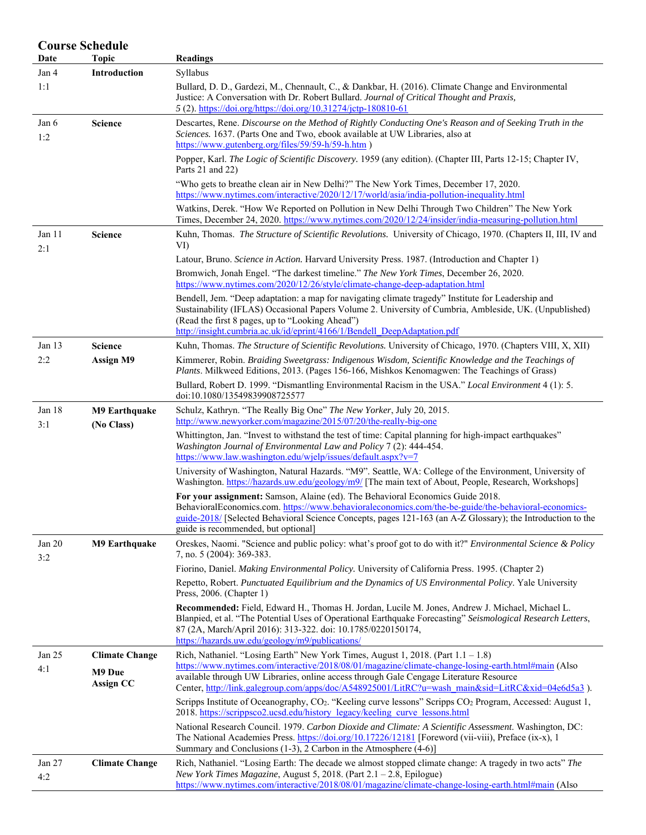| Date          | <b>Course Schedule</b><br><b>Topic</b> | <b>Readings</b>                                                                                                                                                                                                                                                                                                                             |
|---------------|----------------------------------------|---------------------------------------------------------------------------------------------------------------------------------------------------------------------------------------------------------------------------------------------------------------------------------------------------------------------------------------------|
| Jan 4         | Introduction                           | Syllabus                                                                                                                                                                                                                                                                                                                                    |
| 1:1           |                                        | Bullard, D. D., Gardezi, M., Chennault, C., & Dankbar, H. (2016). Climate Change and Environmental<br>Justice: A Conversation with Dr. Robert Bullard. Journal of Critical Thought and Praxis,<br>5 (2). https://doi.org/https://doi.org/10.31274/jctp-180810-61                                                                            |
| Jan 6<br>1:2  | <b>Science</b>                         | Descartes, Rene. Discourse on the Method of Rightly Conducting One's Reason and of Seeking Truth in the<br>Sciences. 1637. (Parts One and Two, ebook available at UW Libraries, also at<br>https://www.gutenberg.org/files/59/59-h/59-h.htm)                                                                                                |
|               |                                        | Popper, Karl. The Logic of Scientific Discovery. 1959 (any edition). (Chapter III, Parts 12-15; Chapter IV,<br>Parts 21 and 22)                                                                                                                                                                                                             |
|               |                                        | "Who gets to breathe clean air in New Delhi?" The New York Times, December 17, 2020.<br>https://www.nytimes.com/interactive/2020/12/17/world/asia/india-pollution-inequality.html                                                                                                                                                           |
|               |                                        | Watkins, Derek. "How We Reported on Pollution in New Delhi Through Two Children" The New York<br>Times, December 24, 2020. https://www.nytimes.com/2020/12/24/insider/india-measuring-pollution.html                                                                                                                                        |
| Jan 11<br>2:1 | <b>Science</b>                         | Kuhn, Thomas. The Structure of Scientific Revolutions. University of Chicago, 1970. (Chapters II, III, IV and<br>VI)                                                                                                                                                                                                                        |
|               |                                        | Latour, Bruno. Science in Action. Harvard University Press. 1987. (Introduction and Chapter 1)                                                                                                                                                                                                                                              |
|               |                                        | Bromwich, Jonah Engel. "The darkest timeline." The New York Times, December 26, 2020.<br>https://www.nytimes.com/2020/12/26/style/climate-change-deep-adaptation.html                                                                                                                                                                       |
|               |                                        | Bendell, Jem. "Deep adaptation: a map for navigating climate tragedy" Institute for Leadership and<br>Sustainability (IFLAS) Occasional Papers Volume 2. University of Cumbria, Ambleside, UK. (Unpublished)<br>(Read the first 8 pages, up to "Looking Ahead")<br>http://insight.cumbria.ac.uk/id/eprint/4166/1/Bendell DeepAdaptation.pdf |
| Jan 13        | <b>Science</b>                         | Kuhn, Thomas. The Structure of Scientific Revolutions. University of Chicago, 1970. (Chapters VIII, X, XII)                                                                                                                                                                                                                                 |
| 2:2           | <b>Assign M9</b>                       | Kimmerer, Robin. Braiding Sweetgrass: Indigenous Wisdom, Scientific Knowledge and the Teachings of<br>Plants. Milkweed Editions, 2013. (Pages 156-166, Mishkos Kenomagwen: The Teachings of Grass)                                                                                                                                          |
|               |                                        | Bullard, Robert D. 1999. "Dismantling Environmental Racism in the USA." Local Environment 4 (1): 5.<br>doi:10.1080/13549839908725577                                                                                                                                                                                                        |
| Jan 18        | <b>M9 Earthquake</b>                   | Schulz, Kathryn. "The Really Big One" The New Yorker, July 20, 2015.                                                                                                                                                                                                                                                                        |
| 3:1           | (No Class)                             | http://www.newyorker.com/magazine/2015/07/20/the-really-big-one                                                                                                                                                                                                                                                                             |
|               |                                        | Whittington, Jan. "Invest to withstand the test of time: Capital planning for high-impact earthquakes"<br>Washington Journal of Environmental Law and Policy 7 (2): 444-454.<br>https://www.law.washington.edu/wjelp/issues/default.aspx?v=7                                                                                                |
|               |                                        | University of Washington, Natural Hazards. "M9". Seattle, WA: College of the Environment, University of<br>Washington. https://hazards.uw.edu/geology/m9/ [The main text of About, People, Research, Workshops]                                                                                                                             |
|               |                                        | For your assignment: Samson, Alaine (ed). The Behavioral Economics Guide 2018.                                                                                                                                                                                                                                                              |
|               |                                        | BehavioralEconomics.com. https://www.behavioraleconomics.com/the-be-guide/the-behavioral-economics-<br>guide-2018/ [Selected Behavioral Science Concepts, pages 121-163 (an A-Z Glossary); the Introduction to the<br>guide is recommended, but optional]                                                                                   |
| Jan 20<br>3:2 | M9 Earthquake                          | Oreskes, Naomi. "Science and public policy: what's proof got to do with it?" Environmental Science & Policy<br>7, no. 5 (2004): 369-383.                                                                                                                                                                                                    |
|               |                                        | Fiorino, Daniel. Making Environmental Policy. University of California Press. 1995. (Chapter 2)                                                                                                                                                                                                                                             |
|               |                                        | Repetto, Robert. Punctuated Equilibrium and the Dynamics of US Environmental Policy. Yale University<br>Press, $2006.$ (Chapter 1)                                                                                                                                                                                                          |
|               |                                        | Recommended: Field, Edward H., Thomas H. Jordan, Lucile M. Jones, Andrew J. Michael, Michael L.<br>Blanpied, et al. "The Potential Uses of Operational Earthquake Forecasting" Seismological Research Letters,<br>87 (2A, March/April 2016): 313-322. doi: 10.1785/0220150174,<br>https://hazards.uw.edu/geology/m9/publications/           |
| Jan 25        | <b>Climate Change</b>                  | Rich, Nathaniel. "Losing Earth" New York Times, August 1, 2018. (Part 1.1 - 1.8)                                                                                                                                                                                                                                                            |
| 4:1           | M9 Due<br><b>Assign CC</b>             | https://www.nytimes.com/interactive/2018/08/01/magazine/climate-change-losing-earth.html#main (Also<br>available through UW Libraries, online access through Gale Cengage Literature Resource<br>Center, http://link.galegroup.com/apps/doc/A548925001/LitRC?u=wash_main&sid=LitRC&xid=04e6d5a3.                                            |
|               |                                        | Scripps Institute of Oceanography, CO <sub>2</sub> . "Keeling curve lessons" Scripps CO <sub>2</sub> Program, Accessed: August 1,<br>2018. https://scrippsco2.ucsd.edu/history legacy/keeling curve lessons.html                                                                                                                            |
|               |                                        | National Research Council. 1979. Carbon Dioxide and Climate: A Scientific Assessment. Washington, DC:<br>The National Academies Press. https://doi.org/10.17226/12181 [Foreword (vii-viii), Preface (ix-x), 1<br>Summary and Conclusions $(1-3)$ , 2 Carbon in the Atmosphere $(4-6)$ ]                                                     |
| Jan 27<br>4:2 | <b>Climate Change</b>                  | Rich, Nathaniel. "Losing Earth: The decade we almost stopped climate change: A tragedy in two acts" The<br>New York Times Magazine, August 5, 2018. (Part 2.1 - 2.8, Epilogue)                                                                                                                                                              |
|               |                                        | https://www.nytimes.com/interactive/2018/08/01/magazine/climate-change-losing-earth.html#main (Also                                                                                                                                                                                                                                         |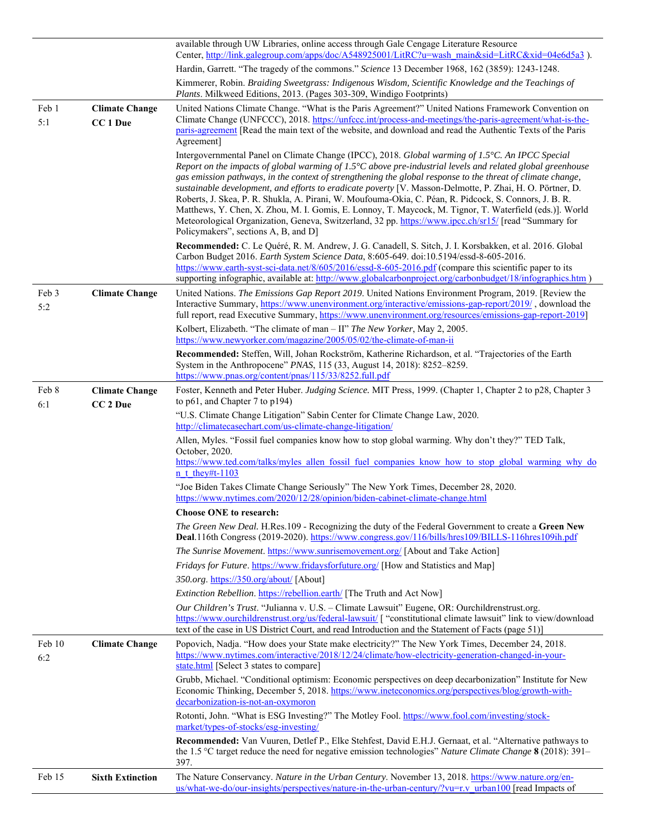|               |                                   | available through UW Libraries, online access through Gale Cengage Literature Resource<br>Center, http://link.galegroup.com/apps/doc/A548925001/LitRC?u=wash_main&sid=LitRC&xid=04e6d5a3).                                                                                                                                                                                                                                                                                                                                                                                                                                                                                                                                                                                                                                 |
|---------------|-----------------------------------|----------------------------------------------------------------------------------------------------------------------------------------------------------------------------------------------------------------------------------------------------------------------------------------------------------------------------------------------------------------------------------------------------------------------------------------------------------------------------------------------------------------------------------------------------------------------------------------------------------------------------------------------------------------------------------------------------------------------------------------------------------------------------------------------------------------------------|
|               |                                   | Hardin, Garrett. "The tragedy of the commons." Science 13 December 1968, 162 (3859): 1243-1248.                                                                                                                                                                                                                                                                                                                                                                                                                                                                                                                                                                                                                                                                                                                            |
|               |                                   | Kimmerer, Robin. Braiding Sweetgrass: Indigenous Wisdom, Scientific Knowledge and the Teachings of<br>Plants. Milkweed Editions, 2013. (Pages 303-309, Windigo Footprints)                                                                                                                                                                                                                                                                                                                                                                                                                                                                                                                                                                                                                                                 |
| Feb 1<br>5:1  | <b>Climate Change</b><br>CC 1 Due | United Nations Climate Change. "What is the Paris Agreement?" United Nations Framework Convention on<br>Climate Change (UNFCCC), 2018. https://unfccc.int/process-and-meetings/the-paris-agreement/what-is-the-<br>paris-agreement [Read the main text of the website, and download and read the Authentic Texts of the Paris<br>Agreement]                                                                                                                                                                                                                                                                                                                                                                                                                                                                                |
|               |                                   | Intergovernmental Panel on Climate Change (IPCC), 2018. Global warming of 1.5°C. An IPCC Special<br>Report on the impacts of global warming of $1.5^{\circ}$ C above pre-industrial levels and related global greenhouse<br>gas emission pathways, in the context of strengthening the global response to the threat of climate change,<br>sustainable development, and efforts to eradicate poverty [V. Masson-Delmotte, P. Zhai, H. O. Pörtner, D.<br>Roberts, J. Skea, P. R. Shukla, A. Pirani, W. Moufouma-Okia, C. Péan, R. Pidcock, S. Connors, J. B. R.<br>Matthews, Y. Chen, X. Zhou, M. I. Gomis, E. Lonnoy, T. Maycock, M. Tignor, T. Waterfield (eds.)]. World<br>Meteorological Organization, Geneva, Switzerland, 32 pp. https://www.ipcc.ch/sr15/ [read "Summary for<br>Policymakers", sections A, B, and D] |
|               |                                   | Recommended: C. Le Quéré, R. M. Andrew, J. G. Canadell, S. Sitch, J. I. Korsbakken, et al. 2016. Global<br>Carbon Budget 2016. Earth System Science Data, 8:605-649. doi:10.5194/essd-8-605-2016.<br>https://www.earth-syst-sci-data.net/8/605/2016/essd-8-605-2016.pdf (compare this scientific paper to its<br>supporting infographic, available at: http://www.globalcarbonproject.org/carbonbudget/18/infographics.htm                                                                                                                                                                                                                                                                                                                                                                                                 |
| Feb 3<br>5:2  | <b>Climate Change</b>             | United Nations. The Emissions Gap Report 2019. United Nations Environment Program, 2019. [Review the<br>Interactive Summary, https://www.unenvironment.org/interactive/emissions-gap-report/2019/, download the<br>full report, read Executive Summary, https://www.unenvironment.org/resources/emissions-gap-report-2019]                                                                                                                                                                                                                                                                                                                                                                                                                                                                                                 |
|               |                                   | Kolbert, Elizabeth. "The climate of man - II" The New Yorker, May 2, 2005.<br>https://www.newyorker.com/magazine/2005/05/02/the-climate-of-man-ii                                                                                                                                                                                                                                                                                                                                                                                                                                                                                                                                                                                                                                                                          |
|               |                                   | Recommended: Steffen, Will, Johan Rockström, Katherine Richardson, et al. "Trajectories of the Earth<br>System in the Anthropocene" PNAS, 115 (33, August 14, 2018): 8252-8259.<br>https://www.pnas.org/content/pnas/115/33/8252.full.pdf                                                                                                                                                                                                                                                                                                                                                                                                                                                                                                                                                                                  |
| Feb 8         | <b>Climate Change</b>             | Foster, Kenneth and Peter Huber. Judging Science. MIT Press, 1999. (Chapter 1, Chapter 2 to p28, Chapter 3                                                                                                                                                                                                                                                                                                                                                                                                                                                                                                                                                                                                                                                                                                                 |
| 6:1           | CC <sub>2</sub> Due               | to p61, and Chapter 7 to p194)<br>"U.S. Climate Change Litigation" Sabin Center for Climate Change Law, 2020.                                                                                                                                                                                                                                                                                                                                                                                                                                                                                                                                                                                                                                                                                                              |
|               |                                   | http://climatecasechart.com/us-climate-change-litigation/                                                                                                                                                                                                                                                                                                                                                                                                                                                                                                                                                                                                                                                                                                                                                                  |
|               |                                   | Allen, Myles. "Fossil fuel companies know how to stop global warming. Why don't they?" TED Talk,<br>October, 2020.                                                                                                                                                                                                                                                                                                                                                                                                                                                                                                                                                                                                                                                                                                         |
|               |                                   | https://www.ted.com/talks/myles allen fossil fuel companies know how to stop global warming why do<br>$n$ t they#t-1103                                                                                                                                                                                                                                                                                                                                                                                                                                                                                                                                                                                                                                                                                                    |
|               |                                   | "Joe Biden Takes Climate Change Seriously" The New York Times, December 28, 2020.<br>https://www.nytimes.com/2020/12/28/opinion/biden-cabinet-climate-change.html                                                                                                                                                                                                                                                                                                                                                                                                                                                                                                                                                                                                                                                          |
|               |                                   | <b>Choose ONE to research:</b>                                                                                                                                                                                                                                                                                                                                                                                                                                                                                                                                                                                                                                                                                                                                                                                             |
|               |                                   | The Green New Deal. H.Res.109 - Recognizing the duty of the Federal Government to create a Green New<br>Deal.116th Congress (2019-2020). https://www.congress.gov/116/bills/hres109/BILLS-116hres109ih.pdf                                                                                                                                                                                                                                                                                                                                                                                                                                                                                                                                                                                                                 |
|               |                                   | The Sunrise Movement. https://www.sunrisemovement.org/ [About and Take Action]<br>Fridays for Future. https://www.fridaysforfuture.org/ [How and Statistics and Map]                                                                                                                                                                                                                                                                                                                                                                                                                                                                                                                                                                                                                                                       |
|               |                                   | 350.org. https://350.org/about/ [About]                                                                                                                                                                                                                                                                                                                                                                                                                                                                                                                                                                                                                                                                                                                                                                                    |
|               |                                   | Extinction Rebellion. https://rebellion.earth/ [The Truth and Act Now]                                                                                                                                                                                                                                                                                                                                                                                                                                                                                                                                                                                                                                                                                                                                                     |
|               |                                   | Our Children's Trust. "Julianna v. U.S. - Climate Lawsuit" Eugene, OR: Ourchildrenstrust.org.<br>https://www.ourchildrenstrust.org/us/federal-lawsuit/ ["constitutional climate lawsuit" link to view/download<br>text of the case in US District Court, and read Introduction and the Statement of Facts (page 51)]                                                                                                                                                                                                                                                                                                                                                                                                                                                                                                       |
| Feb 10<br>6:2 | <b>Climate Change</b>             | Popovich, Nadja. "How does your State make electricity?" The New York Times, December 24, 2018.<br>https://www.nytimes.com/interactive/2018/12/24/climate/how-electricity-generation-changed-in-your-<br>state.html [Select 3 states to compare]                                                                                                                                                                                                                                                                                                                                                                                                                                                                                                                                                                           |
|               |                                   | Grubb, Michael. "Conditional optimism: Economic perspectives on deep decarbonization" Institute for New<br>Economic Thinking, December 5, 2018. https://www.ineteconomics.org/perspectives/blog/growth-with-<br>decarbonization-is-not-an-oxymoron                                                                                                                                                                                                                                                                                                                                                                                                                                                                                                                                                                         |
|               |                                   | Rotonti, John. "What is ESG Investing?" The Motley Fool. https://www.fool.com/investing/stock-<br>market/types-of-stocks/esg-investing/                                                                                                                                                                                                                                                                                                                                                                                                                                                                                                                                                                                                                                                                                    |
|               |                                   | Recommended: Van Vuuren, Detlef P., Elke Stehfest, David E.H.J. Gernaat, et al. "Alternative pathways to<br>the 1.5 °C target reduce the need for negative emission technologies" Nature Climate Change 8 (2018): 391–<br>397.                                                                                                                                                                                                                                                                                                                                                                                                                                                                                                                                                                                             |
| Feb 15        | <b>Sixth Extinction</b>           | The Nature Conservancy. Nature in the Urban Century. November 13, 2018. https://www.nature.org/en-<br>us/what-we-do/our-insights/perspectives/nature-in-the-urban-century/?vu=r.v_urban100 [read Impacts of                                                                                                                                                                                                                                                                                                                                                                                                                                                                                                                                                                                                                |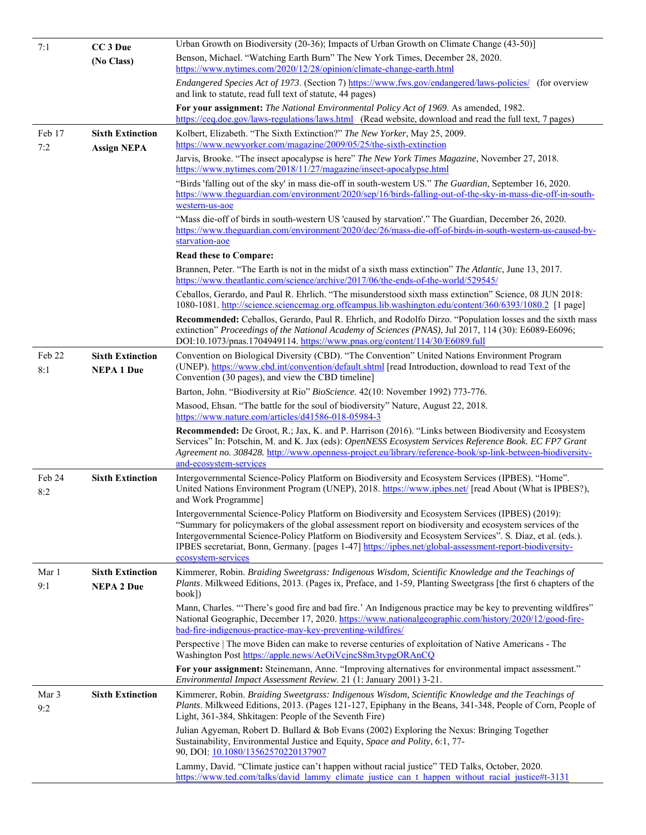| 7:1           | CC <sub>3</sub> Due                           | Urban Growth on Biodiversity (20-36); Impacts of Urban Growth on Climate Change (43-50)]                                                                                                                                                                                                                                                                                                                                                                   |
|---------------|-----------------------------------------------|------------------------------------------------------------------------------------------------------------------------------------------------------------------------------------------------------------------------------------------------------------------------------------------------------------------------------------------------------------------------------------------------------------------------------------------------------------|
|               | (No Class)                                    | Benson, Michael. "Watching Earth Burn" The New York Times, December 28, 2020.<br>https://www.nytimes.com/2020/12/28/opinion/climate-change-earth.html                                                                                                                                                                                                                                                                                                      |
|               |                                               | Endangered Species Act of 1973. (Section 7) https://www.fws.gov/endangered/laws-policies/ (for overview<br>and link to statute, read full text of statute, 44 pages)                                                                                                                                                                                                                                                                                       |
|               |                                               | For your assignment: The National Environmental Policy Act of 1969. As amended, 1982.<br>https://ceq.doe.gov/laws-regulations/laws.html (Read website, download and read the full text, 7 pages)                                                                                                                                                                                                                                                           |
| Feb 17<br>7:2 | <b>Sixth Extinction</b><br><b>Assign NEPA</b> | Kolbert, Elizabeth. "The Sixth Extinction?" The New Yorker, May 25, 2009.<br>https://www.newyorker.com/magazine/2009/05/25/the-sixth-extinction                                                                                                                                                                                                                                                                                                            |
|               |                                               | Jarvis, Brooke. "The insect apocalypse is here" The New York Times Magazine, November 27, 2018.<br>https://www.nytimes.com/2018/11/27/magazine/insect-apocalypse.html                                                                                                                                                                                                                                                                                      |
|               |                                               | "Birds 'falling out of the sky' in mass die-off in south-western US." The Guardian, September 16, 2020.<br>https://www.theguardian.com/environment/2020/sep/16/birds-falling-out-of-the-sky-in-mass-die-off-in-south-<br>western-us-aoe                                                                                                                                                                                                                    |
|               |                                               | "Mass die-off of birds in south-western US 'caused by starvation'." The Guardian, December 26, 2020.<br>https://www.theguardian.com/environment/2020/dec/26/mass-die-off-of-birds-in-south-western-us-caused-by-<br>starvation-aoe                                                                                                                                                                                                                         |
|               |                                               | <b>Read these to Compare:</b>                                                                                                                                                                                                                                                                                                                                                                                                                              |
|               |                                               | Brannen, Peter. "The Earth is not in the midst of a sixth mass extinction" The Atlantic, June 13, 2017.<br>https://www.theatlantic.com/science/archive/2017/06/the-ends-of-the-world/529545/                                                                                                                                                                                                                                                               |
|               |                                               | Ceballos, Gerardo, and Paul R. Ehrlich. "The misunderstood sixth mass extinction" Science, 08 JUN 2018:<br>1080-1081. http://science.sciencemag.org.offcampus.lib.washington.edu/content/360/6393/1080.2 [1 page]                                                                                                                                                                                                                                          |
|               |                                               | Recommended: Ceballos, Gerardo, Paul R. Ehrlich, and Rodolfo Dirzo. "Population losses and the sixth mass<br>extinction" Proceedings of the National Academy of Sciences (PNAS), Jul 2017, 114 (30): E6089-E6096;<br>DOI:10.1073/pnas.1704949114. https://www.pnas.org/content/114/30/E6089.full                                                                                                                                                           |
| Feb 22<br>8:1 | <b>Sixth Extinction</b><br><b>NEPA 1 Due</b>  | Convention on Biological Diversity (CBD). "The Convention" United Nations Environment Program<br>(UNEP). https://www.cbd.int/convention/default.shtml [read Introduction, download to read Text of the                                                                                                                                                                                                                                                     |
|               |                                               | Convention (30 pages), and view the CBD timeline]                                                                                                                                                                                                                                                                                                                                                                                                          |
|               |                                               | Barton, John. "Biodiversity at Rio" BioScience. 42(10: November 1992) 773-776.                                                                                                                                                                                                                                                                                                                                                                             |
|               |                                               | Masood, Ehsan. "The battle for the soul of biodiversity" Nature, August 22, 2018.<br>https://www.nature.com/articles/d41586-018-05984-3                                                                                                                                                                                                                                                                                                                    |
|               |                                               | Recommended: De Groot, R.; Jax, K. and P. Harrison (2016). "Links between Biodiversity and Ecosystem<br>Services" In: Potschin, M. and K. Jax (eds): OpenNESS Ecosystem Services Reference Book. EC FP7 Grant<br>Agreement no. 308428. http://www.openness-project.eu/library/reference-book/sp-link-between-biodiversity-<br>and-ecosystem-services                                                                                                       |
| Feb 24<br>8:2 | <b>Sixth Extinction</b>                       | Intergovernmental Science-Policy Platform on Biodiversity and Ecosystem Services (IPBES). "Home".<br>United Nations Environment Program (UNEP), 2018. https://www.ipbes.net/ [read About (What is IPBES?),<br>and Work Programme]                                                                                                                                                                                                                          |
|               |                                               | Intergovernmental Science-Policy Platform on Biodiversity and Ecosystem Services (IPBES) (2019):<br>"Summary for policymakers of the global assessment report on biodiversity and ecosystem services of the<br>Intergovernmental Science-Policy Platform on Biodiversity and Ecosystem Services". S. Díaz, et al. (eds.).<br>IPBES secretariat, Bonn, Germany. [pages 1-47] https://ipbes.net/global-assessment-report-biodiversity-<br>ecosystem-services |
| Mar 1<br>9:1  | <b>Sixth Extinction</b><br><b>NEPA 2 Due</b>  | Kimmerer, Robin. Braiding Sweetgrass: Indigenous Wisdom, Scientific Knowledge and the Teachings of<br>Plants. Milkweed Editions, 2013. (Pages ix, Preface, and 1-59, Planting Sweetgrass [the first 6 chapters of the<br>book])                                                                                                                                                                                                                            |
|               |                                               | Mann, Charles. "There's good fire and bad fire.' An Indigenous practice may be key to preventing wildfires"<br>National Geographic, December 17, 2020. https://www.nationalgeographic.com/history/2020/12/good-fire-<br>bad-fire-indigenous-practice-may-key-preventing-wildfires/                                                                                                                                                                         |
|               |                                               | Perspective   The move Biden can make to reverse centuries of exploitation of Native Americans - The<br>Washington Post https://apple.news/AeOiVcjncS8m3typgORAnCQ                                                                                                                                                                                                                                                                                         |
|               |                                               | For your assignment: Steinemann, Anne. "Improving alternatives for environmental impact assessment."<br>Environmental Impact Assessment Review. 21 (1: January 2001) 3-21.                                                                                                                                                                                                                                                                                 |
| Mar 3<br>9:2  | <b>Sixth Extinction</b>                       | Kimmerer, Robin. Braiding Sweetgrass: Indigenous Wisdom, Scientific Knowledge and the Teachings of<br>Plants. Milkweed Editions, 2013. (Pages 121-127, Epiphany in the Beans, 341-348, People of Corn, People of<br>Light, 361-384, Shkitagen: People of the Seventh Fire)                                                                                                                                                                                 |
|               |                                               | Julian Agyeman, Robert D. Bullard & Bob Evans (2002) Exploring the Nexus: Bringing Together<br>Sustainability, Environmental Justice and Equity, Space and Polity, 6:1, 77-<br>90, DOI: 10.1080/13562570220137907                                                                                                                                                                                                                                          |
|               |                                               | Lammy, David. "Climate justice can't happen without racial justice" TED Talks, October, 2020.<br>https://www.ted.com/talks/david lammy climate justice can t happen without racial justice#t-3131                                                                                                                                                                                                                                                          |